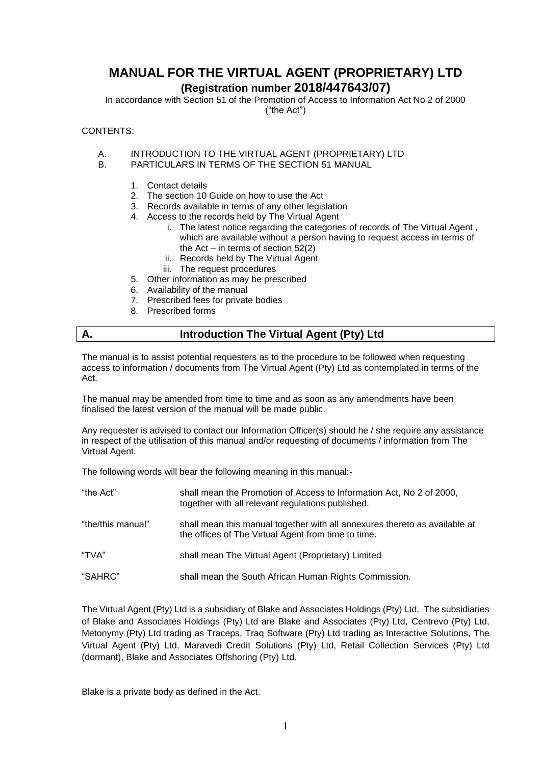# **MANUAL FOR THE VIRTUAL AGENT (PROPRIETARY) LTD**

# **(Registration number 2018/447643/07)**

In accordance with Section 51 of the Promotion of Access to Information Act No 2 of 2000 ("the Act")

CONTENTS:

- A. INTRODUCTION TO THE VIRTUAL AGENT (PROPRIETARY) LTD
- B. PARTICULARS IN TERMS OF THE SECTION 51 MANUAL
	- 1. Contact details
	- 2. The section 10 Guide on how to use the Act
	- 3. Records available in terms of any other legislation
	- 4. Access to the records held by The Virtual Agent
		- i. The latest notice regarding the categories of records of The Virtual Agent , which are available without a person having to request access in terms of the  $Act - in terms of section 52(2)$
		- ii. Records held by The Virtual Agent
		- iii. The request procedures
	- 5. Other information as may be prescribed
	- 6. Availability of the manual
	- 7. Prescribed fees for private bodies
	- 8. Prescribed forms

### **A. Introduction The Virtual Agent (Pty) Ltd**

The manual is to assist potential requesters as to the procedure to be followed when requesting access to information / documents from The Virtual Agent (Pty) Ltd as contemplated in terms of the Act.

The manual may be amended from time to time and as soon as any amendments have been finalised the latest version of the manual will be made public.

Any requester is advised to contact our Information Officer(s) should he / she require any assistance in respect of the utilisation of this manual and/or requesting of documents / information from The Virtual Agent.

The following words will bear the following meaning in this manual:-

| "the Act"         | shall mean the Promotion of Access to Information Act, No 2 of 2000,<br>together with all relevant regulations published.         |
|-------------------|-----------------------------------------------------------------------------------------------------------------------------------|
| "the/this manual" | shall mean this manual together with all annexures thereto as available at<br>the offices of The Virtual Agent from time to time. |
| "TVA"             | shall mean The Virtual Agent (Proprietary) Limited                                                                                |
| "SAHRC"           | shall mean the South African Human Rights Commission.                                                                             |

The Virtual Agent (Pty) Ltd is a subsidiary of Blake and Associates Holdings (Pty) Ltd. The subsidiaries of Blake and Associates Holdings (Pty) Ltd are Blake and Associates (Pty) Ltd, Centrevo (Pty) Ltd, Metonymy (Pty) Ltd trading as Traceps, Traq Software (Pty) Ltd trading as Interactive Solutions, The Virtual Agent (Pty) Ltd, Maravedi Credit Solutions (Pty) Ltd, Retail Collection Services (Pty) Ltd (dormant), Blake and Associates Offshoring (Pty) Ltd.

Blake is a private body as defined in the Act.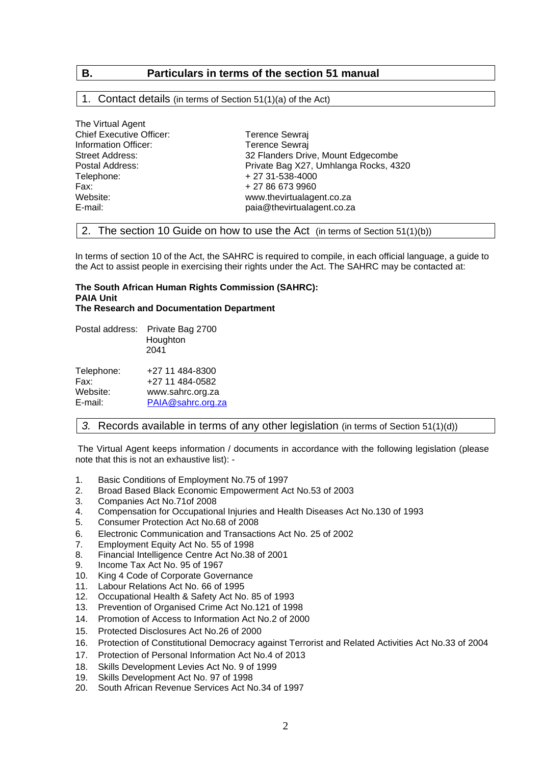## **B. Particulars in terms of the section 51 manual**

#### 1. Contact details (in terms of Section 51(1)(a) of the Act)

| The Virtual Agent               |                                       |
|---------------------------------|---------------------------------------|
| <b>Chief Executive Officer:</b> | Terence Sewraj                        |
| Information Officer:            | <b>Terence Sewraj</b>                 |
| Street Address:                 | 32 Flanders Drive, Mount Edgecombe    |
| Postal Address:                 | Private Bag X27, Umhlanga Rocks, 4320 |
| Telephone:                      | + 27 31-538-4000                      |
| Fax:                            | + 27 86 673 9960                      |
| Website:                        | www.thevirtualagent.co.za             |
| E-mail:                         | paia@thevirtualagent.co.za            |
|                                 |                                       |

#### 2. The section 10 Guide on how to use the Act (in terms of Section 51(1)(b))

In terms of section 10 of the Act, the SAHRC is required to compile, in each official language, a guide to the Act to assist people in exercising their rights under the Act. The SAHRC may be contacted at:

#### **The South African Human Rights Commission (SAHRC): PAIA Unit The Research and Documentation Department**

| Postal address: | Private Bag 2700<br>Houghton<br>2041 |
|-----------------|--------------------------------------|
| Telephone:      | +27 11 484-8300                      |
| Fax:            | +27 11 484-0582                      |
| Website:        | www.sahrc.org.za                     |
| E-mail:         | PAIA@sahrc.org.za                    |

The Virtual Agent

#### *3.* Records available in terms of any other legislation (in terms of Section 51(1)(d))

The Virtual Agent keeps information / documents in accordance with the following legislation (please note that this is not an exhaustive list): -

- 1. Basic Conditions of Employment No.75 of 1997
- 2. Broad Based Black Economic Empowerment Act No.53 of 2003
- 3. Companies Act No.71of 2008
- 4. Compensation for Occupational Injuries and Health Diseases Act No.130 of 1993
- 5. Consumer Protection Act No.68 of 2008
- 6. Electronic Communication and Transactions Act No. 25 of 2002
- 7. Employment Equity Act No. 55 of 1998
- 8. Financial Intelligence Centre Act No.38 of 2001
- 9. Income Tax Act No. 95 of 1967
- 10. King 4 Code of Corporate Governance
- 11. Labour Relations Act No. 66 of 1995
- 12. Occupational Health & Safety Act No. 85 of 1993
- 13. Prevention of Organised Crime Act No.121 of 1998
- 14. Promotion of Access to Information Act No.2 of 2000
- 15. Protected Disclosures Act No.26 of 2000
- 16. Protection of Constitutional Democracy against Terrorist and Related Activities Act No.33 of 2004
- 17. Protection of Personal Information Act No.4 of 2013
- 18. Skills Development Levies Act No. 9 of 1999<br>19. Skills Development Act No. 97 of 1998
- Skills Development Act No. 97 of 1998
- 20. South African Revenue Services Act No.34 of 1997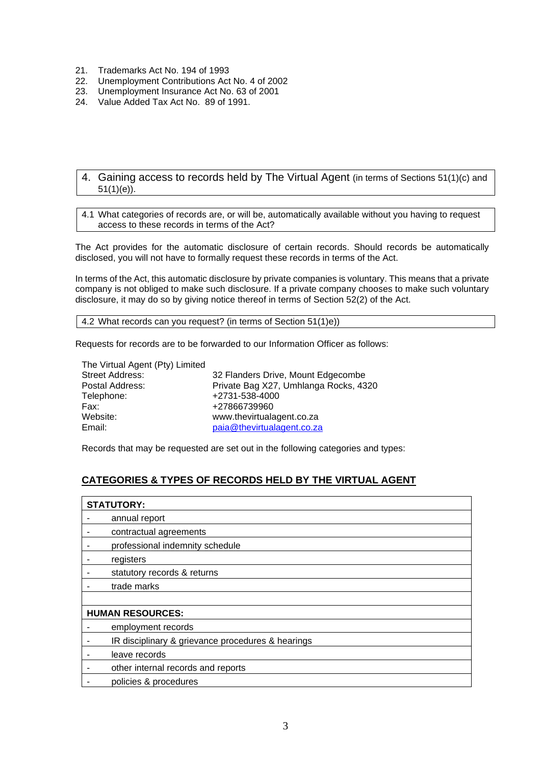- 21. Trademarks Act No. 194 of 1993
- 22. Unemployment Contributions Act No. 4 of 2002<br>23. Unemployment Insurance Act No. 63 of 2001
- 23. Unemployment Insurance Act No. 63 of 2001
- 24. Value Added Tax Act No. 89 of 1991.
	- 4. Gaining access to records held by The Virtual Agent (in terms of Sections 51(1)(c) and  $51(1)(e)$ ).

4.1 What categories of records are, or will be, automatically available without you having to request access to these records in terms of the Act?

The Act provides for the automatic disclosure of certain records. Should records be automatically disclosed, you will not have to formally request these records in terms of the Act.

In terms of the Act, this automatic disclosure by private companies is voluntary. This means that a private company is not obliged to make such disclosure. If a private company chooses to make such voluntary disclosure, it may do so by giving notice thereof in terms of Section 52(2) of the Act.

4.2 What records can you request? (in terms of Section 51(1)e))

Requests for records are to be forwarded to our Information Officer as follows:

| The Virtual Agent (Pty) Limited |                                       |
|---------------------------------|---------------------------------------|
| <b>Street Address:</b>          | 32 Flanders Drive, Mount Edgecombe    |
| Postal Address:                 | Private Bag X27, Umhlanga Rocks, 4320 |
| Telephone:                      | +2731-538-4000                        |
| Fax:                            | +27866739960                          |
| Website:                        | www.thevirtualagent.co.za             |
| Email:                          | paia@thevirtualagent.co.za            |

Records that may be requested are set out in the following categories and types:

# **CATEGORIES & TYPES OF RECORDS HELD BY THE VIRTUAL AGENT**

| <b>STATUTORY:</b>                                 |  |  |  |
|---------------------------------------------------|--|--|--|
| annual report                                     |  |  |  |
| contractual agreements                            |  |  |  |
| professional indemnity schedule                   |  |  |  |
| registers                                         |  |  |  |
| statutory records & returns                       |  |  |  |
| trade marks                                       |  |  |  |
|                                                   |  |  |  |
| <b>HUMAN RESOURCES:</b>                           |  |  |  |
| employment records                                |  |  |  |
| IR disciplinary & grievance procedures & hearings |  |  |  |
| leave records                                     |  |  |  |
| other internal records and reports                |  |  |  |
| policies & procedures                             |  |  |  |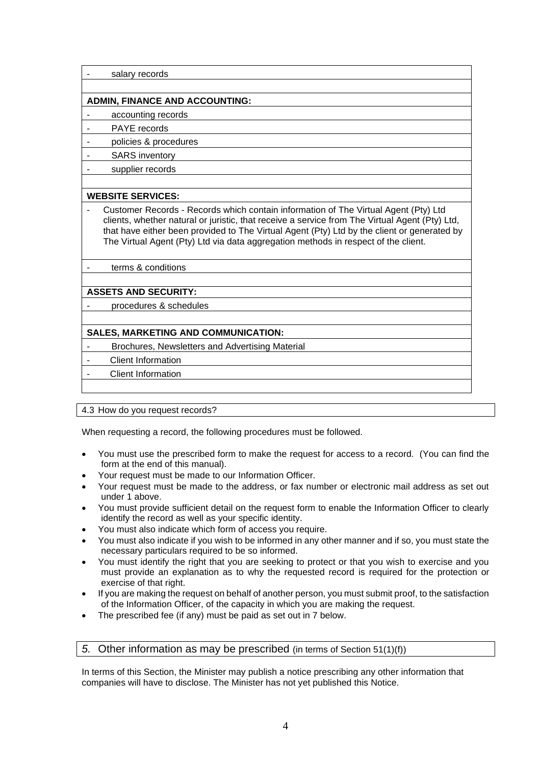salary records

#### **ADMIN, FINANCE AND ACCOUNTING:**

accounting records

PAYE records

- policies & procedures

- SARS inventory

supplier records

#### **WEBSITE SERVICES:**

- Customer Records - Records which contain information of The Virtual Agent (Pty) Ltd clients, whether natural or juristic, that receive a service from The Virtual Agent (Pty) Ltd, that have either been provided to The Virtual Agent (Pty) Ltd by the client or generated by The Virtual Agent (Pty) Ltd via data aggregation methods in respect of the client.

- terms & conditions

#### **ASSETS AND SECURITY:**

procedures & schedules

### **SALES, MARKETING AND COMMUNICATION:**

Brochures, Newsletters and Advertising Material

**Client Information** 

- Client Information

4.3 How do you request records?

When requesting a record, the following procedures must be followed.

- You must use the prescribed form to make the request for access to a record. (You can find the form at the end of this manual).
- Your request must be made to our Information Officer.
- Your request must be made to the address, or fax number or electronic mail address as set out under 1 above.
- You must provide sufficient detail on the request form to enable the Information Officer to clearly identify the record as well as your specific identity.
- You must also indicate which form of access you require.
- You must also indicate if you wish to be informed in any other manner and if so, you must state the necessary particulars required to be so informed.
- You must identify the right that you are seeking to protect or that you wish to exercise and you must provide an explanation as to why the requested record is required for the protection or exercise of that right.
- If you are making the request on behalf of another person, you must submit proof, to the satisfaction of the Information Officer, of the capacity in which you are making the request.
- The prescribed fee (if any) must be paid as set out in 7 below.

### *5.* Other information as may be prescribed (in terms of Section 51(1)(f))

In terms of this Section, the Minister may publish a notice prescribing any other information that companies will have to disclose. The Minister has not yet published this Notice.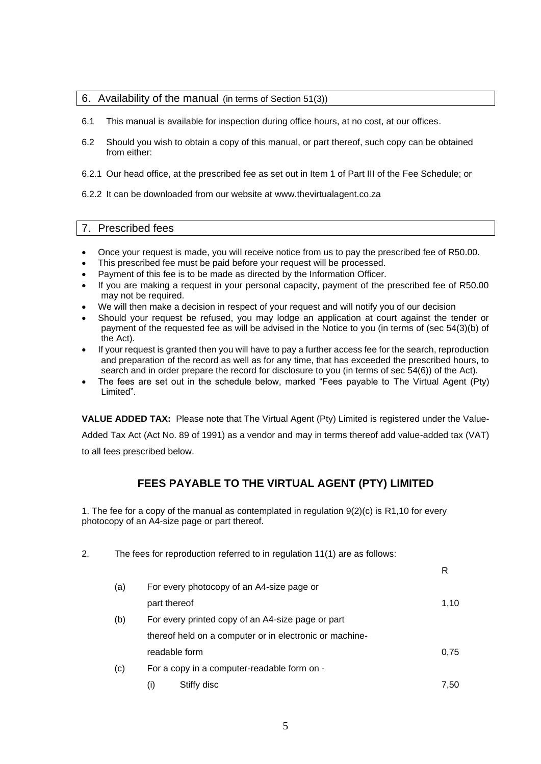#### 6. Availability of the manual (in terms of Section 51(3))

- 6.1 This manual is available for inspection during office hours, at no cost, at our offices.
- 6.2 Should you wish to obtain a copy of this manual, or part thereof, such copy can be obtained from either:
- 6.2.1 Our head office, at the prescribed fee as set out in Item 1 of Part III of the Fee Schedule; or
- 6.2.2 It can be downloaded from our website at www.thevirtualagent.co.za

#### 7. Prescribed fees

- Once your request is made, you will receive notice from us to pay the prescribed fee of R50.00.
- This prescribed fee must be paid before your request will be processed.
- Payment of this fee is to be made as directed by the Information Officer.
- If you are making a request in your personal capacity, payment of the prescribed fee of R50.00 may not be required.
- We will then make a decision in respect of your request and will notify you of our decision
- Should your request be refused, you may lodge an application at court against the tender or payment of the requested fee as will be advised in the Notice to you (in terms of (sec 54(3)(b) of the Act).
- If your request is granted then you will have to pay a further access fee for the search, reproduction and preparation of the record as well as for any time, that has exceeded the prescribed hours, to search and in order prepare the record for disclosure to you (in terms of sec 54(6)) of the Act).
- The fees are set out in the schedule below, marked "Fees payable to The Virtual Agent (Pty) Limited".

**VALUE ADDED TAX:** Please note that The Virtual Agent (Pty) Limited is registered under the Value-

Added Tax Act (Act No. 89 of 1991) as a vendor and may in terms thereof add value-added tax (VAT) to all fees prescribed below.

# **FEES PAYABLE TO THE VIRTUAL AGENT (PTY) LIMITED**

1. The fee for a copy of the manual as contemplated in regulation 9(2)(c) is R1,10 for every photocopy of an A4-size page or part thereof.

2. The fees for reproduction referred to in regulation 11(1) are as follows: R (a) For every photocopy of an A4-size page or part thereof 1,10 (b) For every printed copy of an A4-size page or part thereof held on a computer or in electronic or machinereadable form  $0.75$ (c) For a copy in a computer-readable form on -  $(i)$  Stiffy disc  $7,50$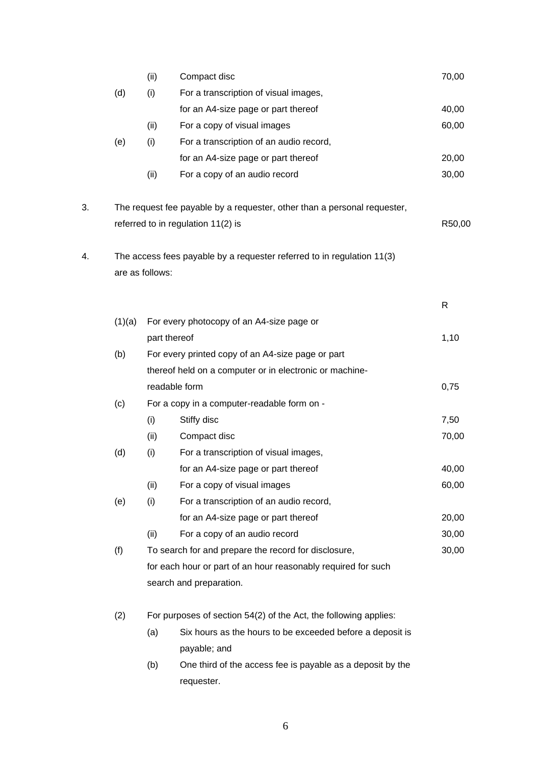|    |        | (ii)            | Compact disc                                                             | 70,00  |
|----|--------|-----------------|--------------------------------------------------------------------------|--------|
|    | (d)    | (i)             | For a transcription of visual images,                                    |        |
|    |        |                 | for an A4-size page or part thereof                                      | 40,00  |
|    |        | (ii)            | For a copy of visual images                                              | 60,00  |
|    | (e)    | (i)             | For a transcription of an audio record,                                  |        |
|    |        |                 | for an A4-size page or part thereof                                      | 20,00  |
|    |        | (ii)            | For a copy of an audio record                                            | 30,00  |
| 3. |        |                 | The request fee payable by a requester, other than a personal requester, |        |
|    |        |                 | referred to in regulation 11(2) is                                       | R50,00 |
| 4. |        | are as follows: | The access fees payable by a requester referred to in regulation 11(3)   |        |
|    |        |                 |                                                                          | R      |
|    | (1)(a) |                 | For every photocopy of an A4-size page or                                |        |
|    |        |                 | part thereof                                                             | 1,10   |
|    | (b)    |                 | For every printed copy of an A4-size page or part                        |        |
|    |        |                 | thereof held on a computer or in electronic or machine-                  |        |
|    |        |                 | readable form                                                            | 0,75   |
|    | (c)    |                 | For a copy in a computer-readable form on -                              |        |
|    |        | (i)             | Stiffy disc                                                              | 7,50   |
|    |        | (ii)            | Compact disc                                                             | 70,00  |
|    | (d)    | (i)             | For a transcription of visual images,                                    |        |
|    |        |                 | for an A4-size page or part thereof                                      | 40,00  |
|    |        | (ii)            | For a copy of visual images                                              | 60,00  |
|    | (e)    | (i)             | For a transcription of an audio record,                                  |        |
|    |        |                 | for an A4-size page or part thereof                                      | 20,00  |
|    |        | (ii)            | For a copy of an audio record                                            | 30,00  |
|    | (f)    |                 | To search for and prepare the record for disclosure,                     | 30,00  |
|    |        |                 | for each hour or part of an hour reasonably required for such            |        |
|    |        |                 | search and preparation.                                                  |        |
|    | (2)    |                 | For purposes of section 54(2) of the Act, the following applies:         |        |
|    |        | (a)             | Six hours as the hours to be exceeded before a deposit is                |        |
|    |        |                 | payable; and                                                             |        |
|    |        | (b)             | One third of the access fee is payable as a deposit by the<br>requester. |        |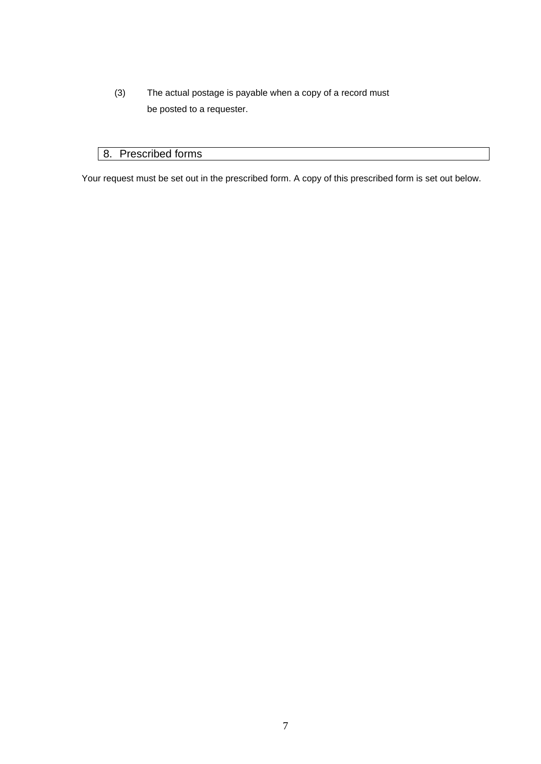(3) The actual postage is payable when a copy of a record must be posted to a requester.

# 8. Prescribed forms

Your request must be set out in the prescribed form. A copy of this prescribed form is set out below.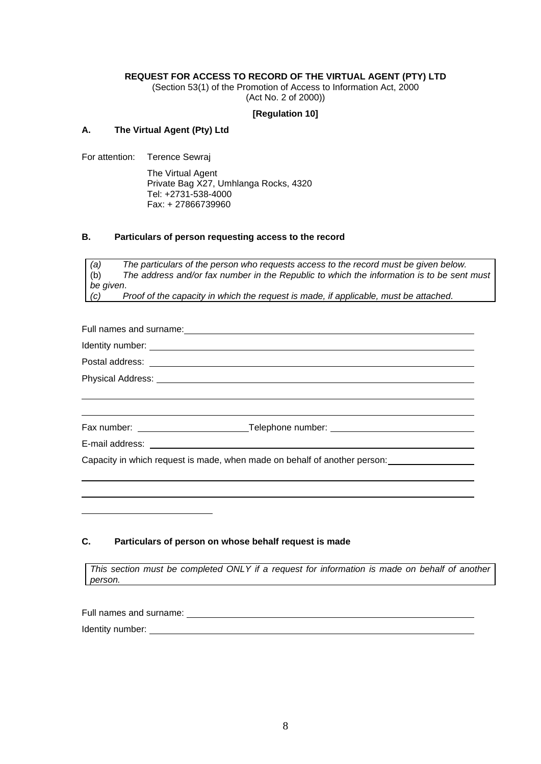#### **REQUEST FOR ACCESS TO RECORD OF THE VIRTUAL AGENT (PTY) LTD**

(Section 53(1) of the Promotion of Access to Information Act, 2000 (Act No. 2 of 2000))

#### **[Regulation 10]**

#### **A. The Virtual Agent (Pty) Ltd**

For attention: Terence Sewraj

The Virtual Agent Private Bag X27, Umhlanga Rocks, 4320 Tel: +2731-538-4000 Fax: + 27866739960

#### **B. Particulars of person requesting access to the record**

*(a) The particulars of the person who requests access to the record must be given below.* (b) *The address and/or fax number in the Republic to which the information is to be sent must be given*. *(c) Proof of the capacity in which the request is made, if applicable, must be attached.*

Full names and surname:

Identity number:

Postal address:

Physical Address:

Fax number: Telephone number:

l,

E-mail address:

Capacity in which request is made, when made on behalf of another person:

#### **C. Particulars of person on whose behalf request is made**

*This section must be completed ONLY if a request for information is made on behalf of another person.*

Full names and surname: <u>subseteed</u> Identity number: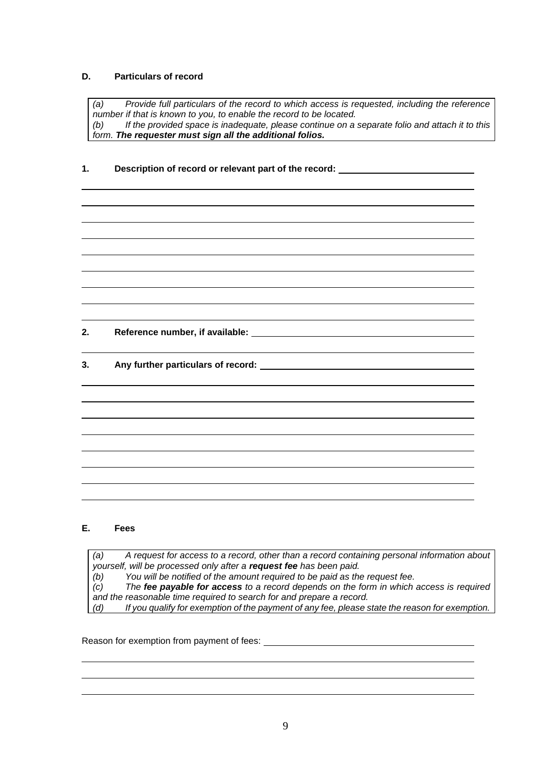### **D. Particulars of record**

*(a) Provide full particulars of the record to which access is requested, including the reference number if that is known to you, to enable the record to be located. (b) If the provided space is inadequate, please continue on a separate folio and attach it to this form. The requester must sign all the additional folios.*

| 1. |  | Description of record or relevant part of the record: |
|----|--|-------------------------------------------------------|
|----|--|-------------------------------------------------------|

**2. Reference number, if available:** 

**3. Any further particulars of record:** 

#### **E. Fees**

*(a) A request for access to a record, other than a record containing personal information about yourself, will be processed only after a request fee has been paid. (b) You will be notified of the amount required to be paid as the request fee. (c) The fee payable for access to a record depends on the form in which access is required and the reasonable time required to search for and prepare a record.*

*(d) If you qualify for exemption of the payment of any fee, please state the reason for exemption.*

Reason for exemption from payment of fees: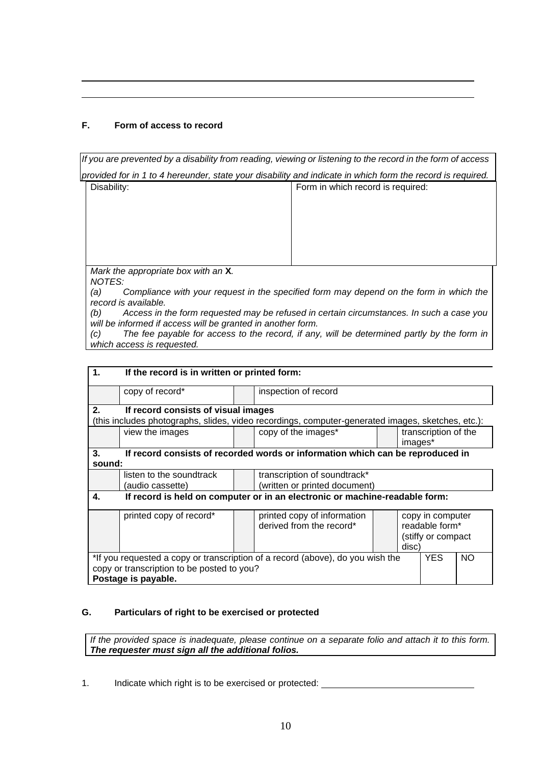### **F. Form of access to record**

*If you are prevented by a disability from reading, viewing or listening to the record in the form of access provided for in 1 to 4 hereunder, state your disability and indicate in which form the record is required.*

l, l,

| Disability:                                   | Form in which record is required: |
|-----------------------------------------------|-----------------------------------|
|                                               |                                   |
|                                               |                                   |
|                                               |                                   |
|                                               |                                   |
|                                               |                                   |
| Mark the appropriate box with an X.<br>MOTFC. |                                   |

*NOTES: (a) Compliance with your request in the specified form may depend on the form in which the record is available.*

*(b) Access in the form requested may be refused in certain circumstances. In such a case you will be informed if access will be granted in another form.*

*(c) The fee payable for access to the record, if any, will be determined partly by the form in which access is requested.*

| 1.                                                                                | If the record is in written or printed form: |  |                                                                                                   |            |                                                                   |  |  |  |
|-----------------------------------------------------------------------------------|----------------------------------------------|--|---------------------------------------------------------------------------------------------------|------------|-------------------------------------------------------------------|--|--|--|
|                                                                                   | copy of record*                              |  | inspection of record                                                                              |            |                                                                   |  |  |  |
| 2.                                                                                | If record consists of visual images          |  |                                                                                                   |            |                                                                   |  |  |  |
|                                                                                   |                                              |  | (this includes photographs, slides, video recordings, computer-generated images, sketches, etc.): |            |                                                                   |  |  |  |
|                                                                                   | view the images                              |  | copy of the images*<br>transcription of the<br>images*                                            |            |                                                                   |  |  |  |
| 3.                                                                                |                                              |  | If record consists of recorded words or information which can be reproduced in                    |            |                                                                   |  |  |  |
| sound:                                                                            |                                              |  |                                                                                                   |            |                                                                   |  |  |  |
|                                                                                   | listen to the soundtrack                     |  | transcription of soundtrack*                                                                      |            |                                                                   |  |  |  |
|                                                                                   | (audio cassette)                             |  | (written or printed document)                                                                     |            |                                                                   |  |  |  |
| 4.<br>If record is held on computer or in an electronic or machine-readable form: |                                              |  |                                                                                                   |            |                                                                   |  |  |  |
|                                                                                   | printed copy of record*                      |  | printed copy of information<br>derived from the record*                                           |            | copy in computer<br>readable form*<br>(stiffy or compact<br>disc) |  |  |  |
| *If you requested a copy or transcription of a record (above), do you wish the    |                                              |  |                                                                                                   | <b>YES</b> | NO.                                                               |  |  |  |
| copy or transcription to be posted to you?                                        |                                              |  |                                                                                                   |            |                                                                   |  |  |  |
|                                                                                   | Postage is payable.                          |  |                                                                                                   |            |                                                                   |  |  |  |

### **G. Particulars of right to be exercised or protected**

*If the provided space is inadequate, please continue on a separate folio and attach it to this form. The requester must sign all the additional folios.*

1. Indicate which right is to be exercised or protected: